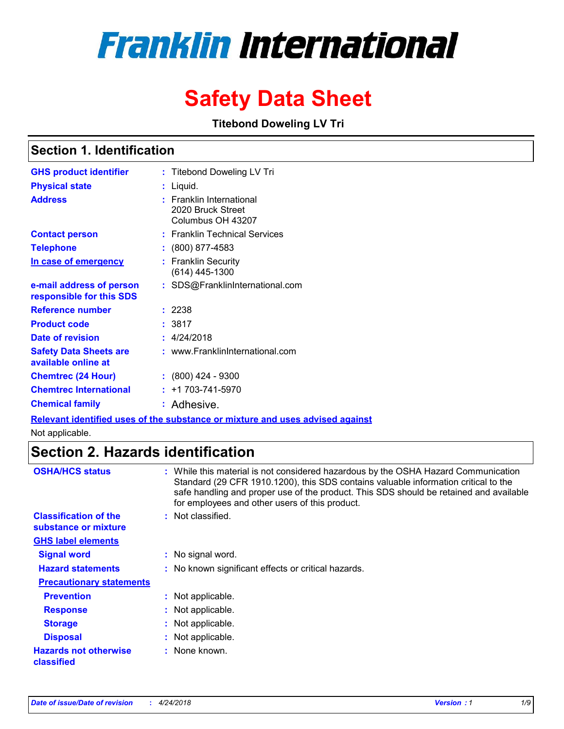# **Franklin International**

## **Safety Data Sheet**

**Titebond Doweling LV Tri**

### **Section 1. Identification**

| <b>GHS product identifier</b>                        | : Titebond Doweling LV Tri                                         |
|------------------------------------------------------|--------------------------------------------------------------------|
| <b>Physical state</b>                                | : Liquid.                                                          |
| <b>Address</b>                                       | : Franklin International<br>2020 Bruck Street<br>Columbus OH 43207 |
| <b>Contact person</b>                                | : Franklin Technical Services                                      |
| <b>Telephone</b>                                     | $\colon$ (800) 877-4583                                            |
| In case of emergency                                 | : Franklin Security<br>$(614)$ 445-1300                            |
| e-mail address of person<br>responsible for this SDS | : SDS@FranklinInternational.com                                    |
| <b>Reference number</b>                              | : 2238                                                             |
| <b>Product code</b>                                  | :3817                                                              |
| <b>Date of revision</b>                              | : 4/24/2018                                                        |
| <b>Safety Data Sheets are</b><br>available online at | : www.FranklinInternational.com                                    |
| <b>Chemtrec (24 Hour)</b>                            | $: (800)$ 424 - 9300                                               |
| <b>Chemtrec International</b>                        | $: +1703 - 741 - 5970$                                             |
| <b>Chemical family</b>                               | : Adhesive.                                                        |

**Relevant identified uses of the substance or mixture and uses advised against**

Not applicable.

### **Section 2. Hazards identification**

| <b>OSHA/HCS status</b>                               | : While this material is not considered hazardous by the OSHA Hazard Communication<br>Standard (29 CFR 1910.1200), this SDS contains valuable information critical to the<br>safe handling and proper use of the product. This SDS should be retained and available<br>for employees and other users of this product. |
|------------------------------------------------------|-----------------------------------------------------------------------------------------------------------------------------------------------------------------------------------------------------------------------------------------------------------------------------------------------------------------------|
| <b>Classification of the</b><br>substance or mixture | : Not classified.                                                                                                                                                                                                                                                                                                     |
| <b>GHS label elements</b>                            |                                                                                                                                                                                                                                                                                                                       |
| <b>Signal word</b>                                   | : No signal word.                                                                                                                                                                                                                                                                                                     |
| <b>Hazard statements</b>                             | : No known significant effects or critical hazards.                                                                                                                                                                                                                                                                   |
| <b>Precautionary statements</b>                      |                                                                                                                                                                                                                                                                                                                       |
| <b>Prevention</b>                                    | : Not applicable.                                                                                                                                                                                                                                                                                                     |
| <b>Response</b>                                      | : Not applicable.                                                                                                                                                                                                                                                                                                     |
| <b>Storage</b>                                       | : Not applicable.                                                                                                                                                                                                                                                                                                     |
| <b>Disposal</b>                                      | : Not applicable.                                                                                                                                                                                                                                                                                                     |
| <b>Hazards not otherwise</b><br>classified           | : None known.                                                                                                                                                                                                                                                                                                         |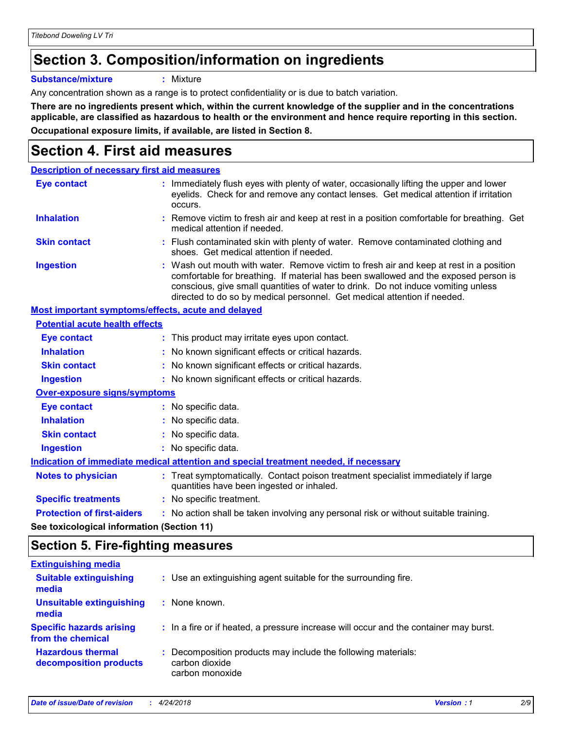### **Section 3. Composition/information on ingredients**

**Substance/mixture :** Mixture

Any concentration shown as a range is to protect confidentiality or is due to batch variation.

**There are no ingredients present which, within the current knowledge of the supplier and in the concentrations applicable, are classified as hazardous to health or the environment and hence require reporting in this section. Occupational exposure limits, if available, are listed in Section 8.**

### **Section 4. First aid measures**

| <b>Description of necessary first aid measures</b> |                                                                                                                                                                                                                                                                                                                                                |  |
|----------------------------------------------------|------------------------------------------------------------------------------------------------------------------------------------------------------------------------------------------------------------------------------------------------------------------------------------------------------------------------------------------------|--|
| <b>Eye contact</b>                                 | : Immediately flush eyes with plenty of water, occasionally lifting the upper and lower<br>eyelids. Check for and remove any contact lenses. Get medical attention if irritation<br>occurs.                                                                                                                                                    |  |
| <b>Inhalation</b>                                  | : Remove victim to fresh air and keep at rest in a position comfortable for breathing. Get<br>medical attention if needed.                                                                                                                                                                                                                     |  |
| <b>Skin contact</b>                                | : Flush contaminated skin with plenty of water. Remove contaminated clothing and<br>shoes. Get medical attention if needed.                                                                                                                                                                                                                    |  |
| <b>Ingestion</b>                                   | : Wash out mouth with water. Remove victim to fresh air and keep at rest in a position<br>comfortable for breathing. If material has been swallowed and the exposed person is<br>conscious, give small quantities of water to drink. Do not induce vomiting unless<br>directed to do so by medical personnel. Get medical attention if needed. |  |
| Most important symptoms/effects, acute and delayed |                                                                                                                                                                                                                                                                                                                                                |  |
| <b>Potential acute health effects</b>              |                                                                                                                                                                                                                                                                                                                                                |  |
| <b>Eye contact</b>                                 | : This product may irritate eyes upon contact.                                                                                                                                                                                                                                                                                                 |  |
| <b>Inhalation</b>                                  | : No known significant effects or critical hazards.                                                                                                                                                                                                                                                                                            |  |
| <b>Skin contact</b>                                | : No known significant effects or critical hazards.                                                                                                                                                                                                                                                                                            |  |
| <b>Ingestion</b>                                   | : No known significant effects or critical hazards.                                                                                                                                                                                                                                                                                            |  |
| <b>Over-exposure signs/symptoms</b>                |                                                                                                                                                                                                                                                                                                                                                |  |
| <b>Eye contact</b>                                 | : No specific data.                                                                                                                                                                                                                                                                                                                            |  |
| <b>Inhalation</b>                                  | : No specific data.                                                                                                                                                                                                                                                                                                                            |  |
| <b>Skin contact</b>                                | : No specific data.                                                                                                                                                                                                                                                                                                                            |  |
| <b>Ingestion</b>                                   | : No specific data.                                                                                                                                                                                                                                                                                                                            |  |
|                                                    | Indication of immediate medical attention and special treatment needed, if necessary                                                                                                                                                                                                                                                           |  |
| <b>Notes to physician</b>                          | : Treat symptomatically. Contact poison treatment specialist immediately if large<br>quantities have been ingested or inhaled.                                                                                                                                                                                                                 |  |
| <b>Specific treatments</b>                         | : No specific treatment.                                                                                                                                                                                                                                                                                                                       |  |
| <b>Protection of first-aiders</b>                  | : No action shall be taken involving any personal risk or without suitable training.                                                                                                                                                                                                                                                           |  |
|                                                    |                                                                                                                                                                                                                                                                                                                                                |  |

**See toxicological information (Section 11)**

### **Section 5. Fire-fighting measures**

| : Use an extinguishing agent suitable for the surrounding fire.                                    |
|----------------------------------------------------------------------------------------------------|
| : None known.                                                                                      |
| : In a fire or if heated, a pressure increase will occur and the container may burst.              |
| : Decomposition products may include the following materials:<br>carbon dioxide<br>carbon monoxide |
|                                                                                                    |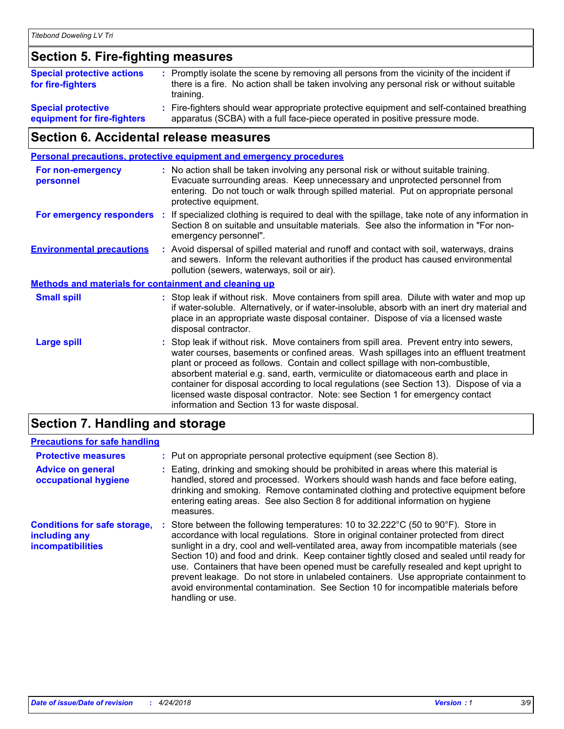### **Section 5. Fire-fighting measures**

| <b>Special protective actions</b><br>for fire-fighters   | : Promptly isolate the scene by removing all persons from the vicinity of the incident if<br>there is a fire. No action shall be taken involving any personal risk or without suitable<br>training. |
|----------------------------------------------------------|-----------------------------------------------------------------------------------------------------------------------------------------------------------------------------------------------------|
| <b>Special protective</b><br>equipment for fire-fighters | : Fire-fighters should wear appropriate protective equipment and self-contained breathing<br>apparatus (SCBA) with a full face-piece operated in positive pressure mode.                            |

### **Section 6. Accidental release measures**

|                                                              |    | <b>Personal precautions, protective equipment and emergency procedures</b>                                                                                                                                                                                                                                                                                                                                                                                                                                                                                                                 |  |  |
|--------------------------------------------------------------|----|--------------------------------------------------------------------------------------------------------------------------------------------------------------------------------------------------------------------------------------------------------------------------------------------------------------------------------------------------------------------------------------------------------------------------------------------------------------------------------------------------------------------------------------------------------------------------------------------|--|--|
| For non-emergency<br>personnel                               |    | : No action shall be taken involving any personal risk or without suitable training.<br>Evacuate surrounding areas. Keep unnecessary and unprotected personnel from<br>entering. Do not touch or walk through spilled material. Put on appropriate personal<br>protective equipment.                                                                                                                                                                                                                                                                                                       |  |  |
| For emergency responders                                     | ÷. | If specialized clothing is required to deal with the spillage, take note of any information in<br>Section 8 on suitable and unsuitable materials. See also the information in "For non-<br>emergency personnel".                                                                                                                                                                                                                                                                                                                                                                           |  |  |
| <b>Environmental precautions</b>                             |    | : Avoid dispersal of spilled material and runoff and contact with soil, waterways, drains<br>and sewers. Inform the relevant authorities if the product has caused environmental<br>pollution (sewers, waterways, soil or air).                                                                                                                                                                                                                                                                                                                                                            |  |  |
| <b>Methods and materials for containment and cleaning up</b> |    |                                                                                                                                                                                                                                                                                                                                                                                                                                                                                                                                                                                            |  |  |
| <b>Small spill</b>                                           |    | : Stop leak if without risk. Move containers from spill area. Dilute with water and mop up<br>if water-soluble. Alternatively, or if water-insoluble, absorb with an inert dry material and<br>place in an appropriate waste disposal container. Dispose of via a licensed waste<br>disposal contractor.                                                                                                                                                                                                                                                                                   |  |  |
| <b>Large spill</b>                                           |    | : Stop leak if without risk. Move containers from spill area. Prevent entry into sewers,<br>water courses, basements or confined areas. Wash spillages into an effluent treatment<br>plant or proceed as follows. Contain and collect spillage with non-combustible,<br>absorbent material e.g. sand, earth, vermiculite or diatomaceous earth and place in<br>container for disposal according to local regulations (see Section 13). Dispose of via a<br>licensed waste disposal contractor. Note: see Section 1 for emergency contact<br>information and Section 13 for waste disposal. |  |  |
|                                                              |    |                                                                                                                                                                                                                                                                                                                                                                                                                                                                                                                                                                                            |  |  |

### **Section 7. Handling and storage**

### **Precautions for safe handling**

| <b>Protective measures</b>                                                       | : Put on appropriate personal protective equipment (see Section 8).                                                                                                                                                                                                                                                                                                                                                                                                                                                                                                                                                                                                            |
|----------------------------------------------------------------------------------|--------------------------------------------------------------------------------------------------------------------------------------------------------------------------------------------------------------------------------------------------------------------------------------------------------------------------------------------------------------------------------------------------------------------------------------------------------------------------------------------------------------------------------------------------------------------------------------------------------------------------------------------------------------------------------|
| <b>Advice on general</b><br>occupational hygiene                                 | : Eating, drinking and smoking should be prohibited in areas where this material is<br>handled, stored and processed. Workers should wash hands and face before eating,<br>drinking and smoking. Remove contaminated clothing and protective equipment before<br>entering eating areas. See also Section 8 for additional information on hygiene<br>measures.                                                                                                                                                                                                                                                                                                                  |
| <b>Conditions for safe storage,</b><br>including any<br><b>incompatibilities</b> | Store between the following temperatures: 10 to $32.222^{\circ}$ C (50 to $90^{\circ}$ F). Store in<br>accordance with local regulations. Store in original container protected from direct<br>sunlight in a dry, cool and well-ventilated area, away from incompatible materials (see<br>Section 10) and food and drink. Keep container tightly closed and sealed until ready for<br>use. Containers that have been opened must be carefully resealed and kept upright to<br>prevent leakage. Do not store in unlabeled containers. Use appropriate containment to<br>avoid environmental contamination. See Section 10 for incompatible materials before<br>handling or use. |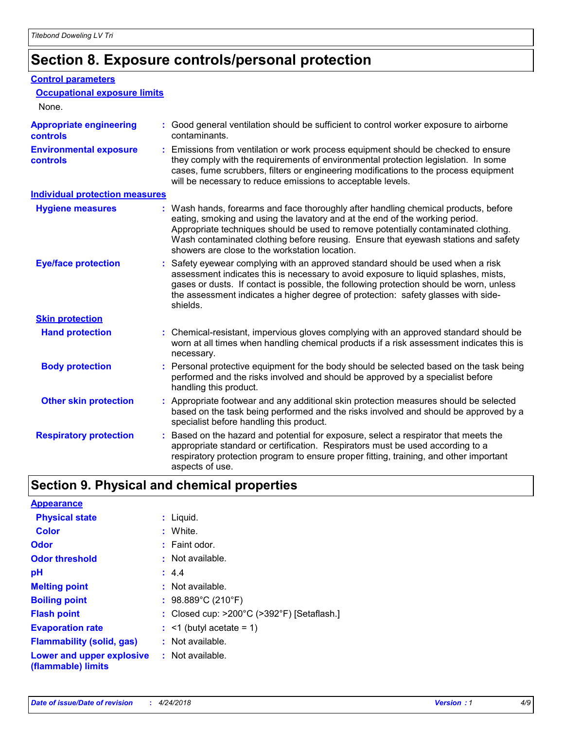### **Section 8. Exposure controls/personal protection**

#### **Control parameters**

**Occupational exposure limits**

| None.                                      |                                                                                                                                                                                                                                                                                                                                                                                                   |  |
|--------------------------------------------|---------------------------------------------------------------------------------------------------------------------------------------------------------------------------------------------------------------------------------------------------------------------------------------------------------------------------------------------------------------------------------------------------|--|
| <b>Appropriate engineering</b><br>controls | : Good general ventilation should be sufficient to control worker exposure to airborne<br>contaminants.                                                                                                                                                                                                                                                                                           |  |
| <b>Environmental exposure</b><br>controls  | : Emissions from ventilation or work process equipment should be checked to ensure<br>they comply with the requirements of environmental protection legislation. In some<br>cases, fume scrubbers, filters or engineering modifications to the process equipment<br>will be necessary to reduce emissions to acceptable levels.                                                                   |  |
| <b>Individual protection measures</b>      |                                                                                                                                                                                                                                                                                                                                                                                                   |  |
| <b>Hygiene measures</b>                    | : Wash hands, forearms and face thoroughly after handling chemical products, before<br>eating, smoking and using the lavatory and at the end of the working period.<br>Appropriate techniques should be used to remove potentially contaminated clothing.<br>Wash contaminated clothing before reusing. Ensure that eyewash stations and safety<br>showers are close to the workstation location. |  |
| <b>Eye/face protection</b>                 | : Safety eyewear complying with an approved standard should be used when a risk<br>assessment indicates this is necessary to avoid exposure to liquid splashes, mists,<br>gases or dusts. If contact is possible, the following protection should be worn, unless<br>the assessment indicates a higher degree of protection: safety glasses with side-<br>shields.                                |  |
| <b>Skin protection</b>                     |                                                                                                                                                                                                                                                                                                                                                                                                   |  |
| <b>Hand protection</b>                     | : Chemical-resistant, impervious gloves complying with an approved standard should be<br>worn at all times when handling chemical products if a risk assessment indicates this is<br>necessary.                                                                                                                                                                                                   |  |
| <b>Body protection</b>                     | : Personal protective equipment for the body should be selected based on the task being<br>performed and the risks involved and should be approved by a specialist before<br>handling this product.                                                                                                                                                                                               |  |
| <b>Other skin protection</b>               | : Appropriate footwear and any additional skin protection measures should be selected<br>based on the task being performed and the risks involved and should be approved by a<br>specialist before handling this product.                                                                                                                                                                         |  |
| <b>Respiratory protection</b>              | : Based on the hazard and potential for exposure, select a respirator that meets the<br>appropriate standard or certification. Respirators must be used according to a<br>respiratory protection program to ensure proper fitting, training, and other important<br>aspects of use.                                                                                                               |  |

### **Section 9. Physical and chemical properties**

| <b>Appearance</b>                               |    |                                                                 |
|-------------------------------------------------|----|-----------------------------------------------------------------|
| <b>Physical state</b>                           |    | : Liquid.                                                       |
| <b>Color</b>                                    | t. | White.                                                          |
| Odor                                            |    | $:$ Faint odor.                                                 |
| <b>Odor threshold</b>                           |    | : Not available.                                                |
| рH                                              |    | : 4.4                                                           |
| <b>Melting point</b>                            |    | : Not available.                                                |
| <b>Boiling point</b>                            |    | : $98.889^{\circ}$ C (210 $^{\circ}$ F)                         |
| <b>Flash point</b>                              |    | : Closed cup: $>200^{\circ}$ C ( $>392^{\circ}$ F) [Setaflash.] |
| <b>Evaporation rate</b>                         |    | $:$ <1 (butyl acetate = 1)                                      |
| <b>Flammability (solid, gas)</b>                |    | $:$ Not available.                                              |
| Lower and upper explosive<br>(flammable) limits |    | $:$ Not available.                                              |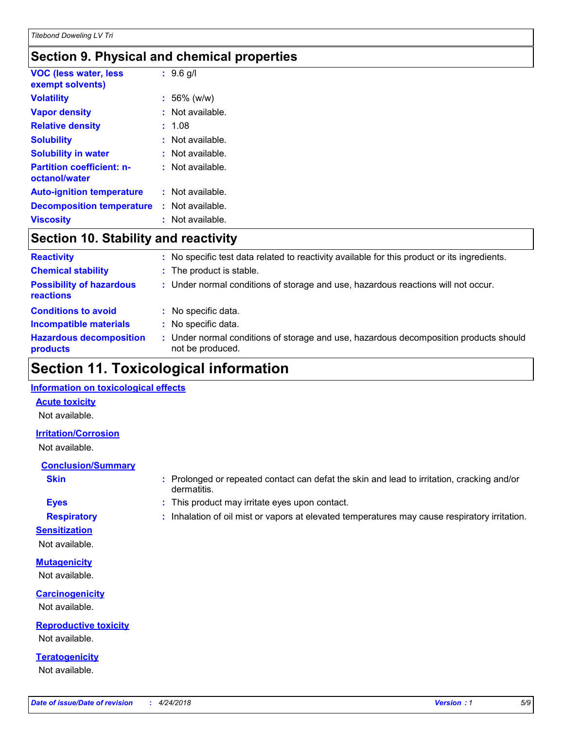### **Section 9. Physical and chemical properties**

| <b>VOC (less water, less</b><br>exempt solvents)  | $: 9.6$ g/l        |
|---------------------------------------------------|--------------------|
| <b>Volatility</b>                                 | $: 56\%$ (w/w)     |
| <b>Vapor density</b>                              | : Not available.   |
| <b>Relative density</b>                           | 1.08               |
| <b>Solubility</b>                                 | : Not available.   |
| <b>Solubility in water</b>                        | $:$ Not available. |
| <b>Partition coefficient: n-</b><br>octanol/water | $:$ Not available. |
| <b>Auto-ignition temperature</b>                  | : Not available.   |
| <b>Decomposition temperature</b>                  | : Not available.   |
| <b>Viscositv</b>                                  | $:$ Not available. |

### **Section 10. Stability and reactivity**

| <b>Reactivity</b>                            |   | : No specific test data related to reactivity available for this product or its ingredients.            |
|----------------------------------------------|---|---------------------------------------------------------------------------------------------------------|
| <b>Chemical stability</b>                    |   | : The product is stable.                                                                                |
| <b>Possibility of hazardous</b><br>reactions |   | : Under normal conditions of storage and use, hazardous reactions will not occur.                       |
| <b>Conditions to avoid</b>                   | ÷ | No specific data.                                                                                       |
| <b>Incompatible materials</b>                |   | No specific data.                                                                                       |
| <b>Hazardous decomposition</b><br>products   |   | Under normal conditions of storage and use, hazardous decomposition products should<br>not be produced. |

### **Section 11. Toxicological information**

#### **Information on toxicological effects**

#### **Acute toxicity**

Not available.

#### **Irritation/Corrosion**

Not available.

#### **Conclusion/Summary**

- 
- **Sensitization**

Not available.

**Mutagenicity** Not available.

**Carcinogenicity** Not available.

**Reproductive toxicity** Not available.

**Teratogenicity** Not available.

- **Skin Example 3 :** Prolonged or repeated contact can defat the skin and lead to irritation, cracking and/or dermatitis.
- **Eyes :** This product may irritate eyes upon contact.
- **Respiratory :** Inhalation of oil mist or vapors at elevated temperatures may cause respiratory irritation.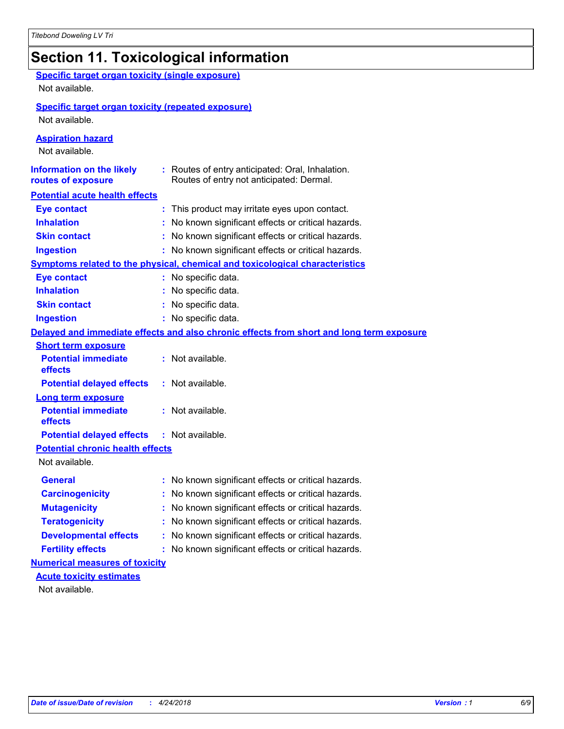### **Section 11. Toxicological information**

| <b>Specific target organ toxicity (single exposure)</b>   |                                                                                          |  |  |  |  |
|-----------------------------------------------------------|------------------------------------------------------------------------------------------|--|--|--|--|
| Not available.                                            |                                                                                          |  |  |  |  |
| <b>Specific target organ toxicity (repeated exposure)</b> |                                                                                          |  |  |  |  |
| Not available.                                            |                                                                                          |  |  |  |  |
|                                                           |                                                                                          |  |  |  |  |
| <b>Aspiration hazard</b>                                  |                                                                                          |  |  |  |  |
| Not available.                                            |                                                                                          |  |  |  |  |
| <b>Information on the likely</b>                          | : Routes of entry anticipated: Oral, Inhalation.                                         |  |  |  |  |
| routes of exposure                                        | Routes of entry not anticipated: Dermal.                                                 |  |  |  |  |
| <b>Potential acute health effects</b>                     |                                                                                          |  |  |  |  |
| <b>Eye contact</b>                                        | : This product may irritate eyes upon contact.                                           |  |  |  |  |
| <b>Inhalation</b>                                         | : No known significant effects or critical hazards.                                      |  |  |  |  |
| <b>Skin contact</b>                                       | : No known significant effects or critical hazards.                                      |  |  |  |  |
| <b>Ingestion</b>                                          | : No known significant effects or critical hazards.                                      |  |  |  |  |
|                                                           | <b>Symptoms related to the physical, chemical and toxicological characteristics</b>      |  |  |  |  |
| <b>Eye contact</b>                                        | : No specific data.                                                                      |  |  |  |  |
| <b>Inhalation</b>                                         | : No specific data.                                                                      |  |  |  |  |
| <b>Skin contact</b>                                       | : No specific data.                                                                      |  |  |  |  |
| <b>Ingestion</b>                                          | : No specific data.                                                                      |  |  |  |  |
|                                                           | Delayed and immediate effects and also chronic effects from short and long term exposure |  |  |  |  |
| <b>Short term exposure</b>                                |                                                                                          |  |  |  |  |
| <b>Potential immediate</b><br>effects                     | : Not available.                                                                         |  |  |  |  |
| <b>Potential delayed effects</b>                          | : Not available.                                                                         |  |  |  |  |
| <b>Long term exposure</b>                                 |                                                                                          |  |  |  |  |
| <b>Potential immediate</b>                                | : Not available.                                                                         |  |  |  |  |
| effects                                                   |                                                                                          |  |  |  |  |
| <b>Potential delayed effects</b>                          | : Not available.                                                                         |  |  |  |  |
| <b>Potential chronic health effects</b>                   |                                                                                          |  |  |  |  |
| Not available.                                            |                                                                                          |  |  |  |  |
| <b>General</b>                                            | : No known significant effects or critical hazards.                                      |  |  |  |  |
| <b>Carcinogenicity</b>                                    | : No known significant effects or critical hazards.                                      |  |  |  |  |
| <b>Mutagenicity</b>                                       | No known significant effects or critical hazards.                                        |  |  |  |  |
| <b>Teratogenicity</b>                                     | No known significant effects or critical hazards.                                        |  |  |  |  |
| <b>Developmental effects</b>                              | No known significant effects or critical hazards.                                        |  |  |  |  |
| <b>Fertility effects</b>                                  | : No known significant effects or critical hazards.                                      |  |  |  |  |
| <b>Numerical measures of toxicity</b>                     |                                                                                          |  |  |  |  |
| <b>Acute toxicity estimates</b>                           |                                                                                          |  |  |  |  |
| Not available.                                            |                                                                                          |  |  |  |  |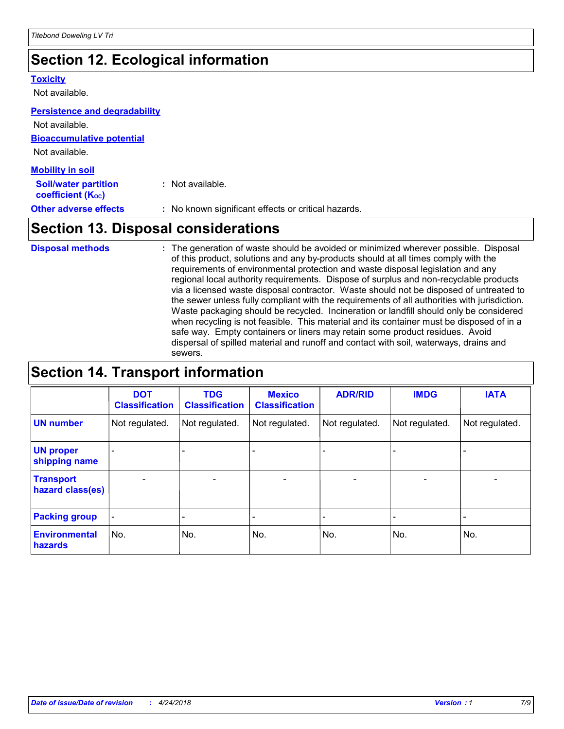### **Section 12. Ecological information**

#### **Toxicity**

Not available.

#### **Persistence and degradability**

**Bioaccumulative potential** Not available. Not available.

| <b>Mobility in soil</b>                                 |                                                     |
|---------------------------------------------------------|-----------------------------------------------------|
| <b>Soil/water partition</b><br><b>coefficient (Koc)</b> | : Not available.                                    |
| <b>Other adverse effects</b>                            | : No known significant effects or critical hazards. |

### **Section 13. Disposal considerations**

The generation of waste should be avoided or minimized wherever possible. Disposal of this product, solutions and any by-products should at all times comply with the requirements of environmental protection and waste disposal legislation and any regional local authority requirements. Dispose of surplus and non-recyclable products via a licensed waste disposal contractor. Waste should not be disposed of untreated to the sewer unless fully compliant with the requirements of all authorities with jurisdiction. Waste packaging should be recycled. Incineration or landfill should only be considered when recycling is not feasible. This material and its container must be disposed of in a safe way. Empty containers or liners may retain some product residues. Avoid dispersal of spilled material and runoff and contact with soil, waterways, drains and sewers. **Disposal methods :**

### **Section 14. Transport information**

|                                      | <b>DOT</b><br><b>Classification</b> | <b>TDG</b><br><b>Classification</b> | <b>Mexico</b><br><b>Classification</b> | <b>ADR/RID</b>               | <b>IMDG</b>              | <b>IATA</b>              |
|--------------------------------------|-------------------------------------|-------------------------------------|----------------------------------------|------------------------------|--------------------------|--------------------------|
| <b>UN number</b>                     | Not regulated.                      | Not regulated.                      | Not regulated.                         | Not regulated.               | Not regulated.           | Not regulated.           |
| <b>UN proper</b><br>shipping name    |                                     |                                     |                                        |                              |                          |                          |
| <b>Transport</b><br>hazard class(es) | $\overline{\phantom{0}}$            | $\overline{\phantom{0}}$            | $\qquad \qquad$                        | $\qquad \qquad \blacksquare$ | $\overline{\phantom{0}}$ | $\overline{\phantom{0}}$ |
| <b>Packing group</b>                 | $\blacksquare$                      | -                                   |                                        | -                            |                          | -                        |
| <b>Environmental</b><br>hazards      | No.                                 | No.                                 | No.                                    | No.                          | No.                      | No.                      |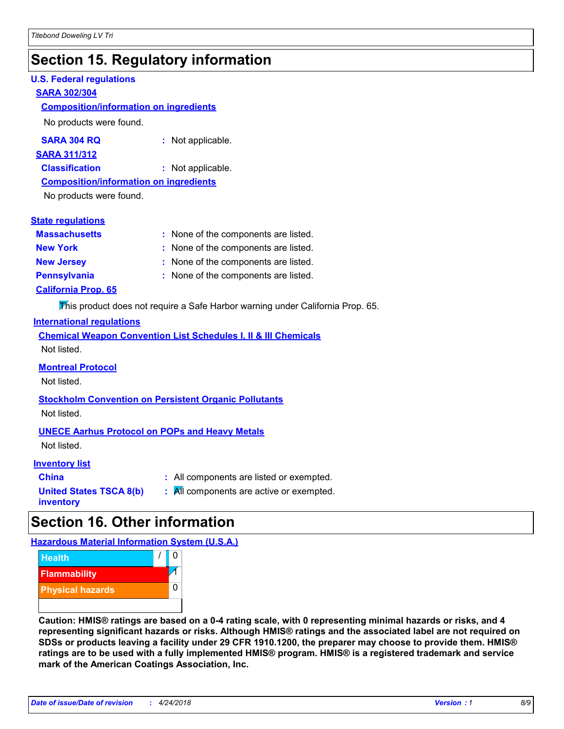### **Section 15. Regulatory information**

#### **U.S. Federal regulations**

#### **SARA 302/304**

#### **Composition/information on ingredients**

No products were found.

| SARA 304 RQ | Not applicable. |
|-------------|-----------------|
|-------------|-----------------|

#### **SARA 311/312**

**Classification :** Not applicable.

#### **Composition/information on ingredients**

No products were found.

#### **State regulations**

| <b>Massachusetts</b>       | : None of the components are listed. |
|----------------------------|--------------------------------------|
| <b>New York</b>            | : None of the components are listed. |
| <b>New Jersey</b>          | : None of the components are listed. |
| <b>Pennsylvania</b>        | : None of the components are listed. |
| <b>California Prop. 65</b> |                                      |

This product does not require a Safe Harbor warning under California Prop. 65.

#### **International regulations**

|             |  |  | <b>Chemical Weapon Convention List Schedules I, II &amp; III Chemicals</b> |  |
|-------------|--|--|----------------------------------------------------------------------------|--|
| Not listed. |  |  |                                                                            |  |

#### **Montreal Protocol**

Not listed.

### **Stockholm Convention on Persistent Organic Pollutants**

Not listed.

#### **UNECE Aarhus Protocol on POPs and Heavy Metals**

Not listed.

#### **Inventory list**

| <b>China</b>            |  |
|-------------------------|--|
| United States TSCA 8(b) |  |
| inventory               |  |

**:** All components are listed or exempted. **:** All components are active or exempted.

### **Section 16. Other information**

**Hazardous Material Information System (U.S.A.)**



**Caution: HMIS® ratings are based on a 0-4 rating scale, with 0 representing minimal hazards or risks, and 4 representing significant hazards or risks. Although HMIS® ratings and the associated label are not required on SDSs or products leaving a facility under 29 CFR 1910.1200, the preparer may choose to provide them. HMIS® ratings are to be used with a fully implemented HMIS® program. HMIS® is a registered trademark and service mark of the American Coatings Association, Inc.**